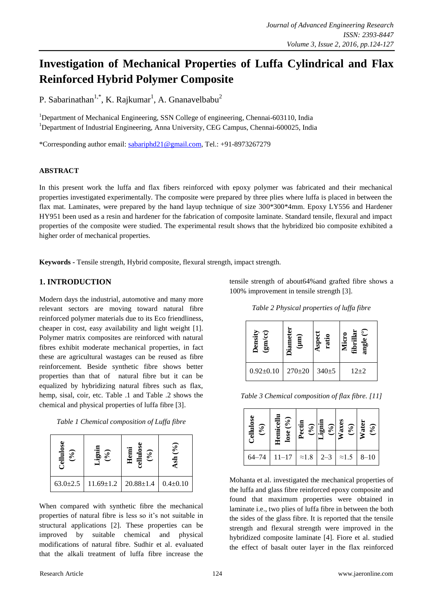# **Investigation of Mechanical Properties of Luffa Cylindrical and Flax Reinforced Hybrid Polymer Composite**

P. Sabarinathan<sup>1,\*</sup>, K. Rajkumar<sup>1</sup>, A. Gnanavelbabu<sup>2</sup>

<sup>1</sup>Department of Mechanical Engineering, SSN College of engineering, Chennai-603110, India <sup>1</sup>Department of Industrial Engineering, Anna University, CEG Campus, Chennai-600025, India

\*Corresponding author email: [sabariphd21@gmail.com,](mailto:sabariphd21@gmail.com) Tel.: +91-8973267279

### **ABSTRACT**

In this present work the luffa and flax fibers reinforced with epoxy polymer was fabricated and their mechanical properties investigated experimentally. The composite were prepared by three plies where luffa is placed in between the flax mat. Laminates, were prepared by the hand layup technique of size 300\*300\*4mm. Epoxy LY556 and Hardener HY951 been used as a resin and hardener for the fabrication of composite laminate. Standard tensile, flexural and impact properties of the composite were studied. The experimental result shows that the hybridized bio composite exhibited a higher order of mechanical properties.

**Keywords -** Tensile strength, Hybrid composite, flexural strength, impact strength.

# **1. INTRODUCTION**

Modern days the industrial, automotive and many more relevant sectors are moving toward natural fibre reinforced polymer materials due to its Eco friendliness, cheaper in cost, easy availability and light weight [1]. Polymer matrix composites are reinforced with natural fibres exhibit moderate mechanical properties, in fact these are agricultural wastages can be reused as fibre reinforcement. Beside synthetic fibre shows better properties than that of natural fibre but it can be equalized by hybridizing natural fibres such as flax, hemp, sisal, coir, etc. Table .1 and Table .2 shows the chemical and physical properties of luffa fibre [3].

| Table 1 Chemical composition of Luffa fibre |
|---------------------------------------------|
|---------------------------------------------|

| ellulose<br>$\binom{6}{0}$<br>- 7 | $\mathcal{S}_{\bullet}$<br><u>ក្នុ</u> | (96)<br>Hem<br>$\mathbf{dl}$ | (96)<br>Ash    |
|-----------------------------------|----------------------------------------|------------------------------|----------------|
| $63.0 \pm 2.5$                    | $11.69 \pm 1.2$                        | $20.88 \pm 1.4$              | $0.4 \pm 0.10$ |

When compared with synthetic fibre the mechanical properties of natural fibre is less so it's not suitable in structural applications [2]. These properties can be improved by suitable chemical and physical modifications of natural fibre. Sudhir et al. evaluated that the alkali treatment of luffa fibre increase the tensile strength of about64%and grafted fibre shows a 100% improvement in tensile strength [3].

*Table 2 Physical properties of luffa fibre*

| ల<br>ensit<br>БĻ |              |           | $\overset{\circ}{-}$<br>fibrilla<br>Ū.<br>angı<br>Ž |  |
|------------------|--------------|-----------|-----------------------------------------------------|--|
| $0.92 \pm 0.10$  | $270 \pm 20$ | $340 + 5$ | $12 + 2$                                            |  |

*Table 3 Chemical composition of flax fibre. [11]*

| Cellulose<br>$(°_0)$ | Hemicellu<br>lose (%)<br>Hemic   | Pectin | $\begin{array}{c}\n(96) \\ \hline\n\text{Lignin} \\ (96) \\ \hline\n\text{Waxes} \\ (96) \\ \hline\n\text{Water} \\ \hline\n\text{Water} \\ (96) \\ \hline\n\end{array}$ |          |
|----------------------|----------------------------------|--------|--------------------------------------------------------------------------------------------------------------------------------------------------------------------------|----------|
| $64 - 74$            | $11-17$ $\approx$ 1.8 $\mid$ 2-3 |        | $\approx 1.5$                                                                                                                                                            | $8 - 10$ |

Mohanta et al. investigated the mechanical properties of the luffa and glass fibre reinforced epoxy composite and found that maximum properties were obtained in laminate i.e., two plies of luffa fibre in between the both the sides of the glass fibre. It is reported that the tensile strength and flexural strength were improved in the hybridized composite laminate [4]. Fiore et al. studied the effect of basalt outer layer in the flax reinforced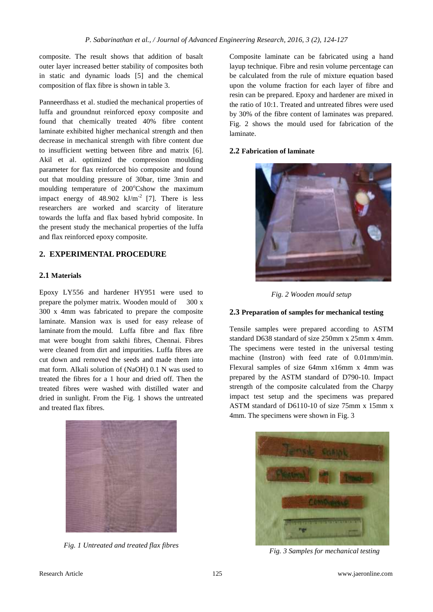composite. The result shows that addition of basalt outer layer increased better stability of composites both in static and dynamic loads [5] and the chemical composition of flax fibre is shown in table 3.

Panneerdhass et al. studied the mechanical properties of luffa and groundnut reinforced epoxy composite and found that chemically treated 40% fibre content laminate exhibited higher mechanical strength and then decrease in mechanical strength with fibre content due to insufficient wetting between fibre and matrix [6]. Akil et al. optimized the compression moulding parameter for flax reinforced bio composite and found out that moulding pressure of 30bar, time 3min and moulding temperature of 200°Cshow the maximum impact energy of  $48.902$  kJ/m<sup>-2</sup> [7]. There is less researchers are worked and scarcity of literature towards the luffa and flax based hybrid composite. In the present study the mechanical properties of the luffa and flax reinforced epoxy composite.

# **2. EXPERIMENTAL PROCEDURE**

## **2.1 Materials**

Epoxy LY556 and hardener HY951 were used to prepare the polymer matrix. Wooden mould of 300 x 300 x 4mm was fabricated to prepare the composite laminate. Mansion wax is used for easy release of laminate from the mould. Luffa fibre and flax fibre mat were bought from sakthi fibres, Chennai. Fibres were cleaned from dirt and impurities. Luffa fibres are cut down and removed the seeds and made them into mat form. Alkali solution of (NaOH) 0.1 N was used to treated the fibres for a 1 hour and dried off. Then the treated fibres were washed with distilled water and dried in sunlight. From the Fig. 1 shows the untreated and treated flax fibres.



*Fig. 1 Untreated and treated flax fibres*

Composite laminate can be fabricated using a hand layup technique. Fibre and resin volume percentage can be calculated from the rule of mixture equation based upon the volume fraction for each layer of fibre and resin can be prepared. Epoxy and hardener are mixed in the ratio of 10:1. Treated and untreated fibres were used by 30% of the fibre content of laminates was prepared. Fig. 2 shows the mould used for fabrication of the laminate.

#### **2.2 Fabrication of laminate**



*Fig. 2 Wooden mould setup*

#### **2.3 Preparation of samples for mechanical testing**

Tensile samples were prepared according to ASTM standard D638 standard of size 250mm x 25mm x 4mm. The specimens were tested in the universal testing machine (Instron) with feed rate of 0.01mm/min. Flexural samples of size 64mm x16mm x 4mm was prepared by the ASTM standard of D790-10. Impact strength of the composite calculated from the Charpy impact test setup and the specimens was prepared ASTM standard of D6110-10 of size 75mm x 15mm x 4mm. The specimens were shown in Fig. 3



*Fig. 3 Samples for mechanical testing*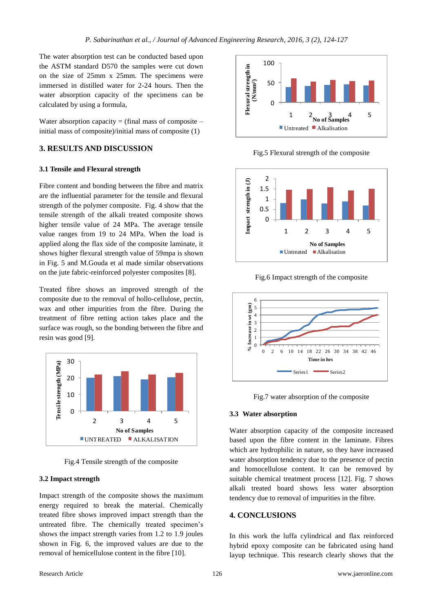The water absorption test can be conducted based upon the ASTM standard D570 the samples were cut down on the size of 25mm x 25mm. The specimens were immersed in distilled water for 2-24 hours. Then the water absorption capacity of the specimens can be calculated by using a formula,

Water absorption capacity  $=$  (final mass of composite  $$ initial mass of composite)/initial mass of composite (1)

## **3. RESULTS AND DISCUSSION**

## **3.1 Tensile and Flexural strength**

Fibre content and bonding between the fibre and matrix are the influential parameter for the tensile and flexural strength of the polymer composite. Fig. 4 show that the tensile strength of the alkali treated composite shows higher tensile value of 24 MPa. The average tensile value ranges from 19 to 24 MPa. When the load is applied along the flax side of the composite laminate, it shows higher flexural strength value of 59mpa is shown in Fig. 5 and M.Gouda et al made similar observations on the jute fabric-reinforced polyester composites [8].

Treated fibre shows an improved strength of the composite due to the removal of hollo-cellulose, pectin, wax and other impurities from the fibre. During the treatment of fibre retting action takes place and the surface was rough, so the bonding between the fibre and resin was good [9].



Fig.4 Tensile strength of the composite

#### **3.2 Impact strength**

Impact strength of the composite shows the maximum energy required to break the material. Chemically treated fibre shows improved impact strength than the untreated fibre. The chemically treated specimen's shows the impact strength varies from 1.2 to 1.9 joules shown in Fig. 6, the improved values are due to the removal of hemicellulose content in the fibre [10].



Fig.5 Flexural strength of the composite



Fig.6 Impact strength of the composite



Fig.7 water absorption of the composite

## **3.3 Water absorption**

Water absorption capacity of the composite increased based upon the fibre content in the laminate. Fibres which are hydrophilic in nature, so they have increased water absorption tendency due to the presence of pectin and homocellulose content. It can be removed by suitable chemical treatment process [12]. Fig. 7 shows alkali treated board shows less water absorption tendency due to removal of impurities in the fibre.

# **4. CONCLUSIONS**

In this work the luffa cylindrical and flax reinforced hybrid epoxy composite can be fabricated using hand layup technique. This research clearly shows that the